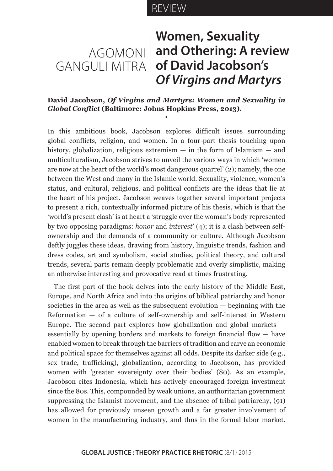# REVIEW

# AGOMONI **and Othering: A review**  GANGULI MITRA **of David Jacobson's Women, Sexuality**  *Of Virgins and Martyrs*

## **David Jacobson,** *Of Virgins and Martyrs: Women and Sexuality in Global Conflict* **(Baltimore: Johns Hopkins Press, 2013).**

•

In this ambitious book, Jacobson explores difficult issues surrounding global conflicts, religion, and women. In a four-part thesis touching upon history, globalization, religious extremism — in the form of Islamism — and multiculturalism, Jacobson strives to unveil the various ways in which 'women are now at the heart of the world's most dangerous quarrel' (2); namely, the one between the West and many in the Islamic world. Sexuality, violence, women's status, and cultural, religious, and political conflicts are the ideas that lie at the heart of his project. Jacobson weaves together several important projects to present a rich, contextually informed picture of his thesis, which is that the 'world's present clash' is at heart a 'struggle over the woman's body represented by two opposing paradigms: *honor* and *interest*' (4); it is a clash between selfownership and the demands of a community or culture. Although Jacobson deftly juggles these ideas, drawing from history, linguistic trends, fashion and dress codes, art and symbolism, social studies, political theory, and cultural trends, several parts remain deeply problematic and overly simplistic, making an otherwise interesting and provocative read at times frustrating.

The first part of the book delves into the early history of the Middle East, Europe, and North Africa and into the origins of biblical patriarchy and honor societies in the area as well as the subsequent evolution  $-$  beginning with the Reformation — of a culture of self-ownership and self-interest in Western Europe. The second part explores how globalization and global markets  $$ essentially by opening borders and markets to foreign financial flow — have enabled women to break through the barriers of tradition and carve an economic and political space for themselves against all odds. Despite its darker side (e.g., sex trade, trafficking), globalization, according to Jacobson, has provided women with 'greater sovereignty over their bodies' (80). As an example, Jacobson cites Indonesia, which has actively encouraged foreign investment since the 80s. This, compounded by weak unions, an authoritarian government suppressing the Islamist movement, and the absence of tribal patriarchy, (91) has allowed for previously unseen growth and a far greater involvement of women in the manufacturing industry, and thus in the formal labor market.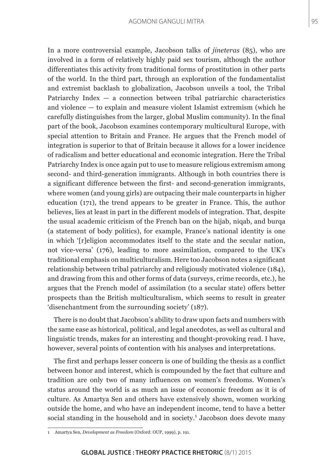In a more controversial example, Jacobson talks of *jineteras* (85), who are involved in a form of relatively highly paid sex tourism, although the author differentiates this activity from traditional forms of prostitution in other parts of the world. In the third part, through an exploration of the fundamentalist and extremist backlash to globalization, Jacobson unveils a tool, the Tribal Patriarchy Index  $-$  a connection between tribal patriarchic characteristics and violence — to explain and measure violent Islamist extremism (which he carefully distinguishes from the larger, global Muslim community). In the final part of the book, Jacobson examines contemporary multicultural Europe, with special attention to Britain and France. He argues that the French model of integration is superior to that of Britain because it allows for a lower incidence of radicalism and better educational and economic integration. Here the Tribal Patriarchy Index is once again put to use to measure religious extremism among second- and third-generation immigrants. Although in both countries there is a significant difference between the first- and second-generation immigrants, where women (and young girls) are outpacing their male counterparts in higher education (171), the trend appears to be greater in France. This, the author believes, lies at least in part in the different models of integration. That, despite the usual academic criticism of the French ban on the hijab, niqab, and burqa (a statement of body politics), for example, France's national identity is one in which '[r]eligion accommodates itself to the state and the secular nation, not vice-versa' (176), leading to more assimilation, compared to the UK's traditional emphasis on multiculturalism. Here too Jacobson notes a significant relationship between tribal patriarchy and religiously motivated violence (184), and drawing from this and other forms of data (surveys, crime records, etc.), he argues that the French model of assimilation (to a secular state) offers better prospects than the British multiculturalism, which seems to result in greater 'disenchantment from the surrounding society' (187).

There is no doubt that Jacobson's ability to draw upon facts and numbers with the same ease as historical, political, and legal anecdotes, as well as cultural and linguistic trends, makes for an interesting and thought-provoking read. I have, however, several points of contention with his analyses and interpretations.

The first and perhaps lesser concern is one of building the thesis as a conflict between honor and interest, which is compounded by the fact that culture and tradition are only two of many influences on women's freedoms. Women's status around the world is as much an issue of economic freedom as it is of culture. As Amartya Sen and others have extensively shown, women working outside the home, and who have an independent income, tend to have a better social standing in the household and in society.<sup>1</sup> Jacobson does devote many

<sup>1</sup> Amartya Sen, *Development as Freedom* (Oxford: OUP, 1999), p. 191.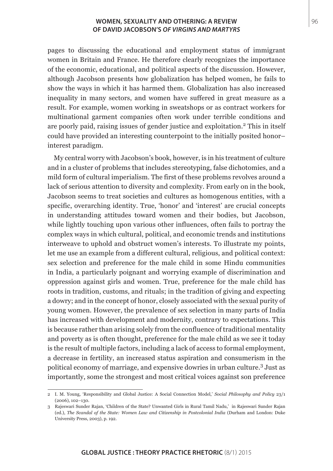#### **WOMEN, SEXUALITY AND OTHERING: A REVIEW** 96 **OF DAVID JACOBSON'S** *OF VIRGINS AND MARTYRS*

pages to discussing the educational and employment status of immigrant women in Britain and France. He therefore clearly recognizes the importance of the economic, educational, and political aspects of the discussion. However, although Jacobson presents how globalization has helped women, he fails to show the ways in which it has harmed them. Globalization has also increased inequality in many sectors, and women have suffered in great measure as a result. For example, women working in sweatshops or as contract workers for multinational garment companies often work under terrible conditions and are poorly paid, raising issues of gender justice and exploitation.<sup>2</sup> This in itself could have provided an interesting counterpoint to the initially posited honor– interest paradigm.

My central worry with Jacobson's book, however, is in his treatment of culture and in a cluster of problems that includes stereotyping, false dichotomies, and a mild form of cultural imperialism. The first of these problems revolves around a lack of serious attention to diversity and complexity. From early on in the book, Jacobson seems to treat societies and cultures as homogenous entities, with a specific, overarching identity. True, 'honor' and 'interest' are crucial concepts in understanding attitudes toward women and their bodies, but Jacobson, while lightly touching upon various other influences, often fails to portray the complex ways in which cultural, political, and economic trends and institutions interweave to uphold and obstruct women's interests. To illustrate my points, let me use an example from a different cultural, religious, and political context: sex selection and preference for the male child in some Hindu communities in India, a particularly poignant and worrying example of discrimination and oppression against girls and women. True, preference for the male child has roots in tradition, customs, and rituals; in the tradition of giving and expecting a dowry; and in the concept of honor, closely associated with the sexual purity of young women. However, the prevalence of sex selection in many parts of India has increased with development and modernity, contrary to expectations. This is because rather than arising solely from the confluence of traditional mentality and poverty as is often thought, preference for the male child as we see it today is the result of multiple factors, including a lack of access to formal employment, a decrease in fertility, an increased status aspiration and consumerism in the political economy of marriage, and expensive dowries in urban culture.<sup>3</sup> Just as importantly, some the strongest and most critical voices against son preference

<sup>2</sup> I. M. Young, 'Responsibility and Global Justice: A Social Connection Model,' *Social Philosophy and Policy* 23/1 (2006), 102–130.

<sup>3</sup> Rajeswari Sunder Rajan, 'Children of the State? Unwanted Girls in Rural Tamil Nadu,' in Rajeswari Sunder Rajan (ed.), *The Scandal of the State: Women Law and Citizenship in Postcolonial India* (Durham and London: Duke University Press, 2003), p. 192.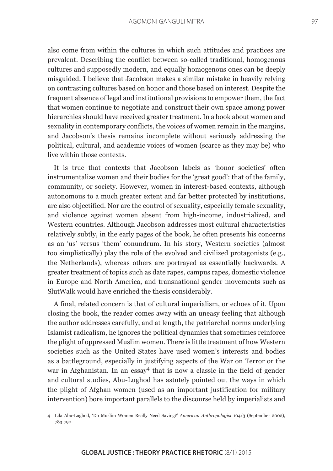also come from within the cultures in which such attitudes and practices are prevalent. Describing the conflict between so-called traditional, homogenous cultures and supposedly modern, and equally homogenous ones can be deeply misguided. I believe that Jacobson makes a similar mistake in heavily relying on contrasting cultures based on honor and those based on interest. Despite the frequent absence of legal and institutional provisions to empower them, the fact that women continue to negotiate and construct their own space among power hierarchies should have received greater treatment. In a book about women and sexuality in contemporary conflicts, the voices of women remain in the margins, and Jacobson's thesis remains incomplete without seriously addressing the political, cultural, and academic voices of women (scarce as they may be) who live within those contexts.

It is true that contexts that Jacobson labels as 'honor societies' often instrumentalize women and their bodies for the 'great good': that of the family, community, or society. However, women in interest-based contexts, although autonomous to a much greater extent and far better protected by institutions, are also objectified. Nor are the control of sexuality, especially female sexuality, and violence against women absent from high-income, industrialized, and Western countries. Although Jacobson addresses most cultural characteristics relatively subtly, in the early pages of the book, he often presents his concerns as an 'us' versus 'them' conundrum. In his story, Western societies (almost too simplistically) play the role of the evolved and civilized protagonists (e.g., the Netherlands), whereas others are portrayed as essentially backwards. A greater treatment of topics such as date rapes, campus rapes, domestic violence in Europe and North America, and transnational gender movements such as SlutWalk would have enriched the thesis considerably.

A final, related concern is that of cultural imperialism, or echoes of it. Upon closing the book, the reader comes away with an uneasy feeling that although the author addresses carefully, and at length, the patriarchal norms underlying Islamist radicalism, he ignores the political dynamics that sometimes reinforce the plight of oppressed Muslim women. There is little treatment of how Western societies such as the United States have used women's interests and bodies as a battleground, especially in justifying aspects of the War on Terror or the war in Afghanistan. In an essay<sup>4</sup> that is now a classic in the field of gender and cultural studies, Abu-Lughod has astutely pointed out the ways in which the plight of Afghan women (used as an important justification for military intervention) bore important parallels to the discourse held by imperialists and

<sup>4</sup> Lila Abu-Lughod, 'Do Muslim Women Really Need Saving?' *American Anthropologist* 104/3 (September 2002), 783-790.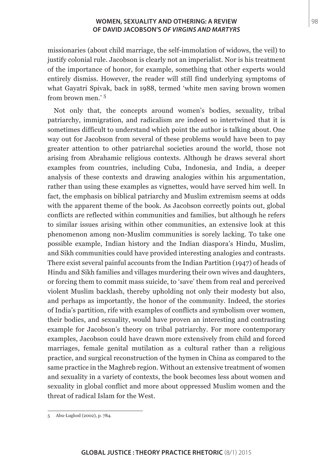### **WOMEN, SEXUALITY AND OTHERING: A REVIEW**  98 **OF DAVID JACOBSON'S** *OF VIRGINS AND MARTYRS*

missionaries (about child marriage, the self-immolation of widows, the veil) to justify colonial rule. Jacobson is clearly not an imperialist. Nor is his treatment of the importance of honor, for example, something that other experts would entirely dismiss. However, the reader will still find underlying symptoms of what Gayatri Spivak, back in 1988, termed 'white men saving brown women from brown men.' <sup>5</sup>

Not only that, the concepts around women's bodies, sexuality, tribal patriarchy, immigration, and radicalism are indeed so intertwined that it is sometimes difficult to understand which point the author is talking about. One way out for Jacobson from several of these problems would have been to pay greater attention to other patriarchal societies around the world, those not arising from Abrahamic religious contexts. Although he draws several short examples from countries, including Cuba, Indonesia, and India, a deeper analysis of these contexts and drawing analogies within his argumentation, rather than using these examples as vignettes, would have served him well. In fact, the emphasis on biblical patriarchy and Muslim extremism seems at odds with the apparent theme of the book. As Jacobson correctly points out, global conflicts are reflected within communities and families, but although he refers to similar issues arising within other communities, an extensive look at this phenomenon among non-Muslim communities is sorely lacking. To take one possible example, Indian history and the Indian diaspora's Hindu, Muslim, and Sikh communities could have provided interesting analogies and contrasts. There exist several painful accounts from the Indian Partition (1947) of heads of Hindu and Sikh families and villages murdering their own wives and daughters, or forcing them to commit mass suicide, to 'save' them from real and perceived violent Muslim backlash, thereby upholding not only their modesty but also, and perhaps as importantly, the honor of the community. Indeed, the stories of India's partition, rife with examples of conflicts and symbolism over women, their bodies, and sexuality, would have proven an interesting and contrasting example for Jacobson's theory on tribal patriarchy. For more contemporary examples, Jacobson could have drawn more extensively from child and forced marriages, female genital mutilation as a cultural rather than a religious practice, and surgical reconstruction of the hymen in China as compared to the same practice in the Maghreb region. Without an extensive treatment of women and sexuality in a variety of contexts, the book becomes less about women and sexuality in global conflict and more about oppressed Muslim women and the threat of radical Islam for the West.

<sup>5</sup> Abu-Lughod (2002), p. 784.